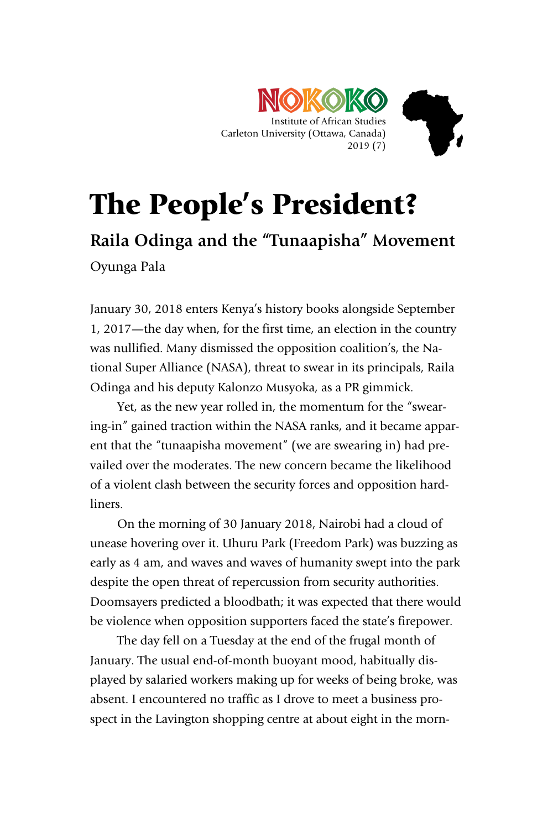

## The People's President?

**Raila Odinga and the "Tunaapisha" Movement** Oyunga Pala

January 30, 2018 enters Kenya's history books alongside September 1, 2017—the day when, for the first time, an election in the country was nullified. Many dismissed the opposition coalition's, the National Super Alliance (NASA), threat to swear in its principals, Raila Odinga and his deputy Kalonzo Musyoka, as a PR gimmick.

Yet, as the new year rolled in, the momentum for the "swearing-in" gained traction within the NASA ranks, and it became apparent that the "tunaapisha movement" (we are swearing in) had prevailed over the moderates. The new concern became the likelihood of a violent clash between the security forces and opposition hardliners.

On the morning of 30 January 2018, Nairobi had a cloud of unease hovering over it. Uhuru Park (Freedom Park) was buzzing as early as 4 am, and waves and waves of humanity swept into the park despite the open threat of repercussion from security authorities. Doomsayers predicted a bloodbath; it was expected that there would be violence when opposition supporters faced the state's firepower.

The day fell on a Tuesday at the end of the frugal month of January. The usual end-of-month buoyant mood, habitually displayed by salaried workers making up for weeks of being broke, was absent. I encountered no traffic as I drove to meet a business prospect in the Lavington shopping centre at about eight in the morn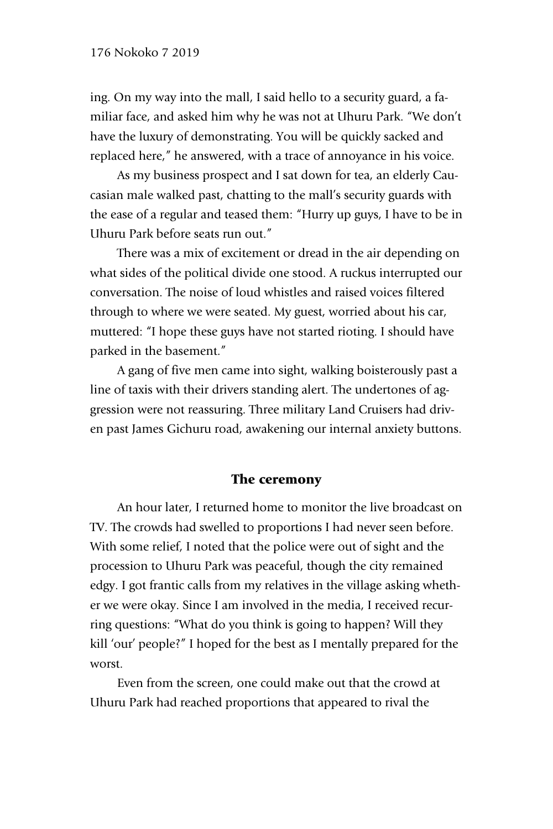ing. On my way into the mall, I said hello to a security guard, a familiar face, and asked him why he was not at Uhuru Park. "We don't have the luxury of demonstrating. You will be quickly sacked and replaced here," he answered, with a trace of annoyance in his voice.

As my business prospect and I sat down for tea, an elderly Caucasian male walked past, chatting to the mall's security guards with the ease of a regular and teased them: "Hurry up guys, I have to be in Uhuru Park before seats run out."

There was a mix of excitement or dread in the air depending on what sides of the political divide one stood. A ruckus interrupted our conversation. The noise of loud whistles and raised voices filtered through to where we were seated. My guest, worried about his car, muttered: "I hope these guys have not started rioting. I should have parked in the basement."

A gang of five men came into sight, walking boisterously past a line of taxis with their drivers standing alert. The undertones of aggression were not reassuring. Three military Land Cruisers had driven past James Gichuru road, awakening our internal anxiety buttons.

## The ceremony

An hour later, I returned home to monitor the live broadcast on TV. The crowds had swelled to proportions I had never seen before. With some relief, I noted that the police were out of sight and the procession to Uhuru Park was peaceful, though the city remained edgy. I got frantic calls from my relatives in the village asking whether we were okay. Since I am involved in the media, I received recurring questions: "What do you think is going to happen? Will they kill 'our' people?" I hoped for the best as I mentally prepared for the worst.

Even from the screen, one could make out that the crowd at Uhuru Park had reached proportions that appeared to rival the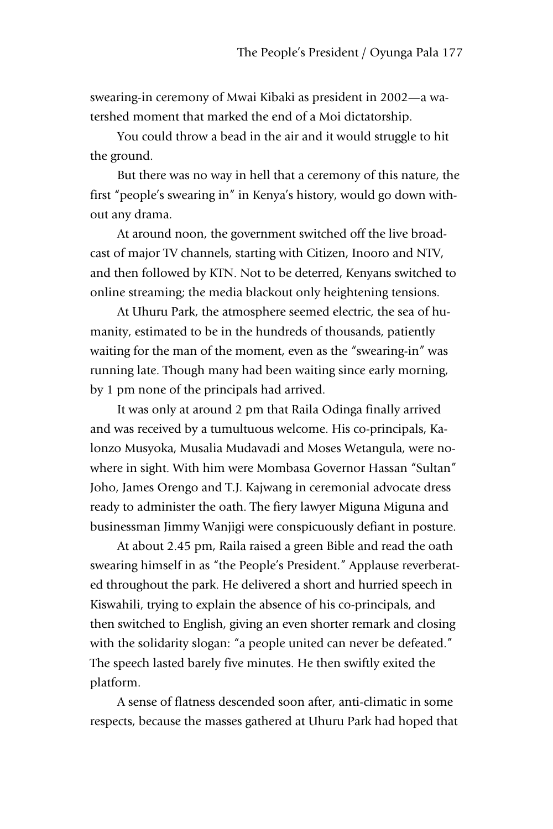swearing-in ceremony of Mwai Kibaki as president in 2002—a watershed moment that marked the end of a Moi dictatorship.

You could throw a bead in the air and it would struggle to hit the ground.

But there was no way in hell that a ceremony of this nature, the first "people's swearing in" in Kenya's history, would go down without any drama.

At around noon, the government switched off the live broadcast of major TV channels, starting with Citizen, Inooro and NTV, and then followed by KTN. Not to be deterred, Kenyans switched to online streaming; the media blackout only heightening tensions.

At Uhuru Park, the atmosphere seemed electric, the sea of humanity, estimated to be in the hundreds of thousands, patiently waiting for the man of the moment, even as the "swearing-in" was running late. Though many had been waiting since early morning, by 1 pm none of the principals had arrived.

It was only at around 2 pm that Raila Odinga finally arrived and was received by a tumultuous welcome. His co-principals, Kalonzo Musyoka, Musalia Mudavadi and Moses Wetangula, were nowhere in sight. With him were Mombasa Governor Hassan "Sultan" Joho, James Orengo and T.J. Kajwang in ceremonial advocate dress ready to administer the oath. The fiery lawyer Miguna Miguna and businessman Jimmy Wanjigi were conspicuously defiant in posture.

At about 2.45 pm, Raila raised a green Bible and read the oath swearing himself in as "the People's President." Applause reverberated throughout the park. He delivered a short and hurried speech in Kiswahili, trying to explain the absence of his co-principals, and then switched to English, giving an even shorter remark and closing with the solidarity slogan: "a people united can never be defeated." The speech lasted barely five minutes. He then swiftly exited the platform.

A sense of flatness descended soon after, anti-climatic in some respects, because the masses gathered at Uhuru Park had hoped that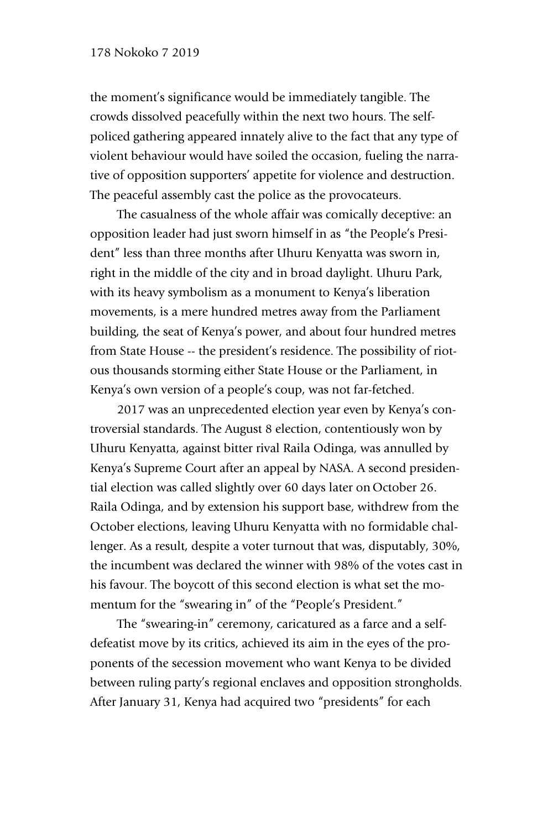the moment's significance would be immediately tangible. The crowds dissolved peacefully within the next two hours. The selfpoliced gathering appeared innately alive to the fact that any type of violent behaviour would have soiled the occasion, fueling the narrative of opposition supporters' appetite for violence and destruction. The peaceful assembly cast the police as the provocateurs.

The casualness of the whole affair was comically deceptive: an opposition leader had just sworn himself in as "the People's President" less than three months after Uhuru Kenyatta was sworn in, right in the middle of the city and in broad daylight. Uhuru Park, with its heavy symbolism as a monument to Kenya's liberation movements, is a mere hundred metres away from the Parliament building, the seat of Kenya's power, and about four hundred metres from State House -- the president's residence. The possibility of riotous thousands storming either State House or the Parliament, in Kenya's own version of a people's coup, was not far-fetched.

2017 was an unprecedented election year even by Kenya's controversial standards. The August 8 election, contentiously won by Uhuru Kenyatta, against bitter rival Raila Odinga, was annulled by Kenya's Supreme Court after an appeal by NASA. A second presidential election was called slightly over 60 days later on October 26. Raila Odinga, and by extension his support base, withdrew from the October elections, leaving Uhuru Kenyatta with no formidable challenger. As a result, despite a voter turnout that was, disputably, 30%, the incumbent was declared the winner with 98% of the votes cast in his favour. The boycott of this second election is what set the momentum for the "swearing in" of the "People's President."

The "swearing-in" ceremony, caricatured as a farce and a selfdefeatist move by its critics, achieved its aim in the eyes of the proponents of the secession movement who want Kenya to be divided between ruling party's regional enclaves and opposition strongholds. After January 31, Kenya had acquired two "presidents" for each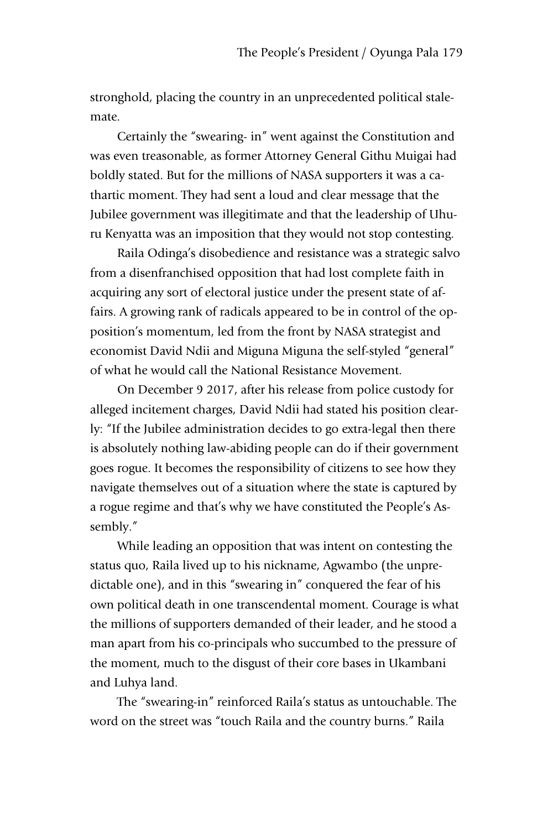stronghold, placing the country in an unprecedented political stalemate.

Certainly the "swearing- in" went against the Constitution and was even treasonable, as former Attorney General Githu Muigai had boldly stated. But for the millions of NASA supporters it was a cathartic moment. They had sent a loud and clear message that the Jubilee government was illegitimate and that the leadership of Uhuru Kenyatta was an imposition that they would not stop contesting.

Raila Odinga's disobedience and resistance was a strategic salvo from a disenfranchised opposition that had lost complete faith in acquiring any sort of electoral justice under the present state of affairs. A growing rank of radicals appeared to be in control of the opposition's momentum, led from the front by NASA strategist and economist David Ndii and Miguna Miguna the self-styled "general" of what he would call the National Resistance Movement.

On December 9 2017, after his release from police custody for alleged incitement charges, David Ndii had stated his position clearly: "If the Jubilee administration decides to go extra-legal then there is absolutely nothing law-abiding people can do if their government goes rogue. It becomes the responsibility of citizens to see how they navigate themselves out of a situation where the state is captured by a rogue regime and that's why we have constituted the People's Assembly."

While leading an opposition that was intent on contesting the status quo, Raila lived up to his nickname, Agwambo (the unpredictable one), and in this "swearing in" conquered the fear of his own political death in one transcendental moment. Courage is what the millions of supporters demanded of their leader, and he stood a man apart from his co-principals who succumbed to the pressure of the moment, much to the disgust of their core bases in Ukambani and Luhya land.

The "swearing-in" reinforced Raila's status as untouchable. The word on the street was "touch Raila and the country burns." Raila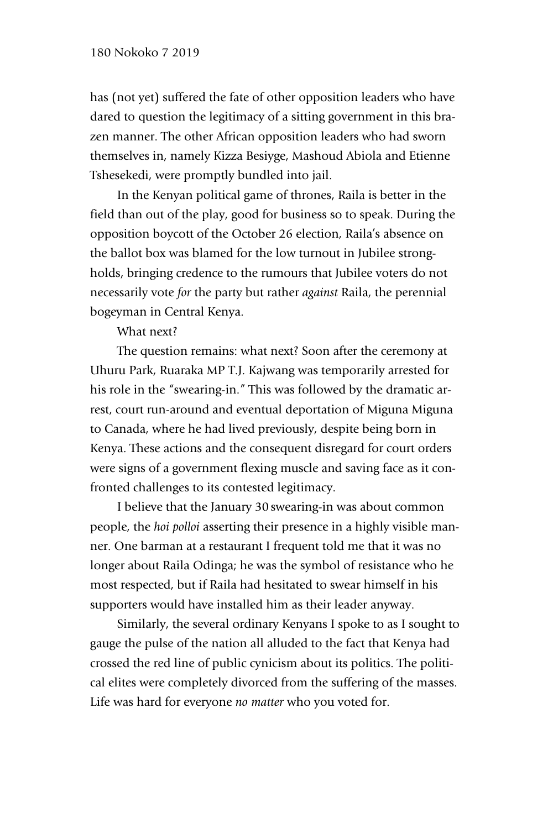has (not yet) suffered the fate of other opposition leaders who have dared to question the legitimacy of a sitting government in this brazen manner. The other African opposition leaders who had sworn themselves in, namely Kizza Besiyge, Mashoud Abiola and Etienne Tshesekedi, were promptly bundled into jail.

In the Kenyan political game of thrones, Raila is better in the field than out of the play, good for business so to speak. During the opposition boycott of the October 26 election, Raila's absence on the ballot box was blamed for the low turnout in Jubilee strongholds, bringing credence to the rumours that Jubilee voters do not necessarily vote *for* the party but rather *against* Raila, the perennial bogeyman in Central Kenya.

What next?

The question remains: what next? Soon after the ceremony at Uhuru Park, Ruaraka MP T.J. Kajwang was temporarily arrested for his role in the "swearing-in." This was followed by the dramatic arrest, court run-around and eventual deportation of Miguna Miguna to Canada, where he had lived previously, despite being born in Kenya. These actions and the consequent disregard for court orders were signs of a government flexing muscle and saving face as it confronted challenges to its contested legitimacy.

I believe that the January 30 swearing-in was about common people, the *hoi polloi* asserting their presence in a highly visible manner. One barman at a restaurant I frequent told me that it was no longer about Raila Odinga; he was the symbol of resistance who he most respected, but if Raila had hesitated to swear himself in his supporters would have installed him as their leader anyway.

Similarly, the several ordinary Kenyans I spoke to as I sought to gauge the pulse of the nation all alluded to the fact that Kenya had crossed the red line of public cynicism about its politics. The political elites were completely divorced from the suffering of the masses. Life was hard for everyone *no matter* who you voted for.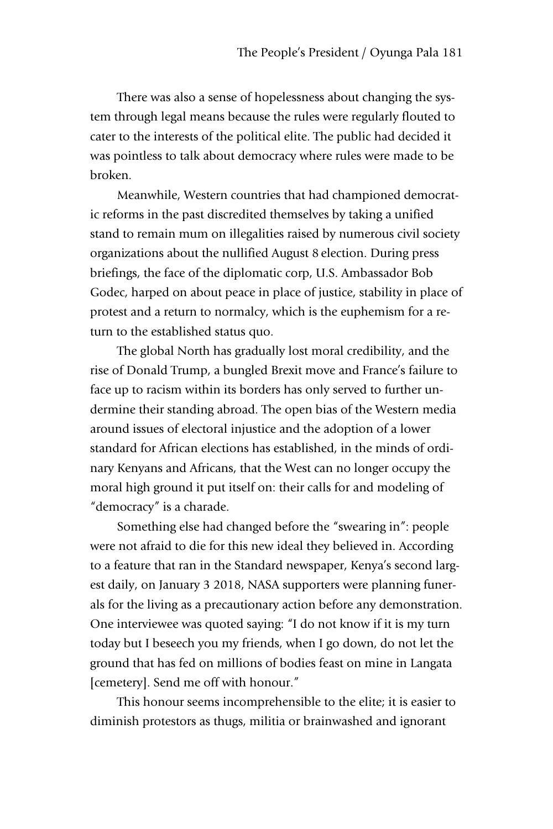There was also a sense of hopelessness about changing the system through legal means because the rules were regularly flouted to cater to the interests of the political elite. The public had decided it was pointless to talk about democracy where rules were made to be broken.

Meanwhile, Western countries that had championed democratic reforms in the past discredited themselves by taking a unified stand to remain mum on illegalities raised by numerous civil society organizations about the nullified August 8 election. During press briefings, the face of the diplomatic corp, U.S. Ambassador Bob Godec, harped on about peace in place of justice, stability in place of protest and a return to normalcy, which is the euphemism for a return to the established status quo.

The global North has gradually lost moral credibility, and the rise of Donald Trump, a bungled Brexit move and France's failure to face up to racism within its borders has only served to further undermine their standing abroad. The open bias of the Western media around issues of electoral injustice and the adoption of a lower standard for African elections has established, in the minds of ordinary Kenyans and Africans, that the West can no longer occupy the moral high ground it put itself on: their calls for and modeling of "democracy" is a charade.

Something else had changed before the "swearing in": people were not afraid to die for this new ideal they believed in. According to a feature that ran in the Standard newspaper, Kenya's second largest daily, on January 3 2018, NASA supporters were planning funerals for the living as a precautionary action before any demonstration. One interviewee was quoted saying: "I do not know if it is my turn today but I beseech you my friends, when I go down, do not let the ground that has fed on millions of bodies feast on mine in Langata [cemetery]. Send me off with honour."

This honour seems incomprehensible to the elite; it is easier to diminish protestors as thugs, militia or brainwashed and ignorant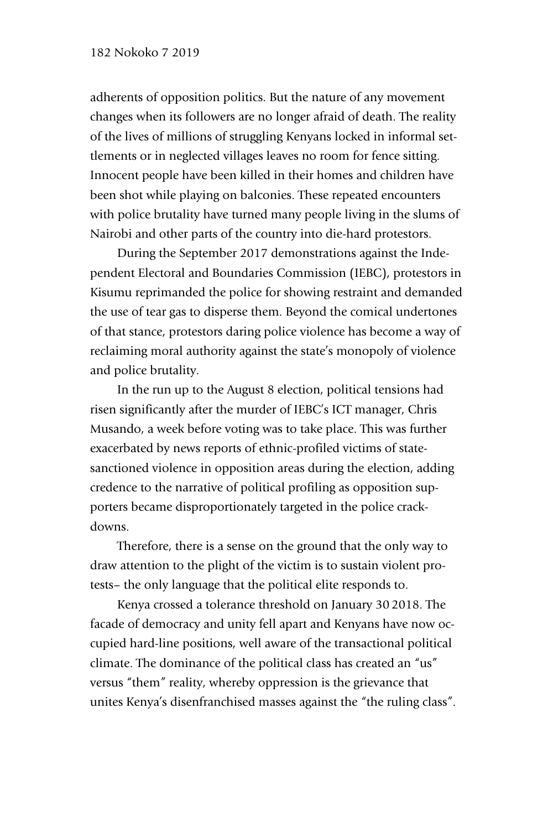adherents of opposition politics. But the nature of any movement changes when its followers are no longer afraid of death. The reality of the lives of millions of struggling Kenyans locked in informal settlements or in neglected villages leaves no room for fence sitting. Innocent people have been killed in their homes and children have been shot while playing on balconies. These repeated encounters with police brutality have turned many people living in the slums of Nairobi and other parts of the country into die-hard protestors.

During the September 2017 demonstrations against the Independent Electoral and Boundaries Commission (IEBC), protestors in Kisumu reprimanded the police for showing restraint and demanded the use of tear gas to disperse them. Beyond the comical undertones of that stance, protestors daring police violence has become a way of reclaiming moral authority against the state's monopoly of violence and police brutality.

In the run up to the August 8 election, political tensions had risen significantly after the murder of IEBC's ICT manager, Chris Musando, a week before voting was to take place. This was further exacerbated by news reports of ethnic-profiled victims of statesanctioned violence in opposition areas during the election, adding credence to the narrative of political profiling as opposition supporters became disproportionately targeted in the police crackdowns.

Therefore, there is a sense on the ground that the only way to draw attention to the plight of the victim is to sustain violent protests– the only language that the political elite responds to.

Kenya crossed a tolerance threshold on January 30 2018. The facade of democracy and unity fell apart and Kenyans have now occupied hard-line positions, well aware of the transactional political climate. The dominance of the political class has created an "us" versus "them" reality, whereby oppression is the grievance that unites Kenya's disenfranchised masses against the "the ruling class".